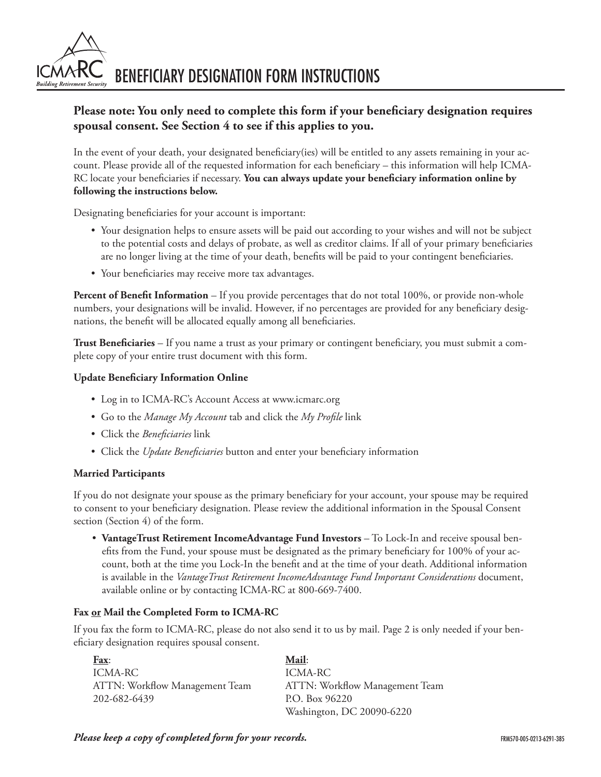BENEFICIARY DESIGNATION FORM INSTRUCTIONS

# **Please note: You only need to complete this form if your beneficiary designation requires spousal consent. See Section 4 to see if this applies to you.**

In the event of your death, your designated beneficiary(ies) will be entitled to any assets remaining in your account. Please provide all of the requested information for each beneficiary – this information will help ICMA-RC locate your beneficiaries if necessary. **You can always update your beneficiary information online by following the instructions below.**

Designating beneficiaries for your account is important:

- Your designation helps to ensure assets will be paid out according to your wishes and will not be subject to the potential costs and delays of probate, as well as creditor claims. If all of your primary beneficiaries are no longer living at the time of your death, benefits will be paid to your contingent beneficiaries.
- Your beneficiaries may receive more tax advantages.

**Percent of Benefit Information** – If you provide percentages that do not total 100%, or provide non-whole numbers, your designations will be invalid. However, if no percentages are provided for any beneficiary designations, the benefit will be allocated equally among all beneficiaries.

**Trust Beneficiaries** – If you name a trust as your primary or contingent beneficiary, you must submit a complete copy of your entire trust document with this form.

## **Update Beneficiary Information Online**

- Log in to ICMA-RC's Account Access at www.icmarc.org
- Go to the *Manage My Account* tab and click the *My Profile* link
- Click the *Beneficiaries* link
- Click the *Update Beneficiaries* button and enter your beneficiary information

#### **Married Participants**

**Building Retirement Securit** 

If you do not designate your spouse as the primary beneficiary for your account, your spouse may be required to consent to your beneficiary designation. Please review the additional information in the Spousal Consent section (Section 4) of the form.

• **VantageTrust Retirement IncomeAdvantage Fund Investors** – To Lock-In and receive spousal benefits from the Fund, your spouse must be designated as the primary beneficiary for 100% of your account, both at the time you Lock-In the benefit and at the time of your death. Additional information is available in the *VantageTrust Retirement IncomeAdvantage Fund Important Considerations* document, available online or by contacting ICMA-RC at 800-669-7400.

## **Fax or Mail the Completed Form to ICMA-RC**

If you fax the form to ICMA-RC, please do not also send it to us by mail. Page 2 is only needed if your beneficiary designation requires spousal consent.

| <b>Fax:</b>                    | Mail:                          |
|--------------------------------|--------------------------------|
| ICMA-RC                        | ICMA-RC                        |
| ATTN: Workflow Management Team | ATTN: Workflow Management Team |
| 202-682-6439                   | P.O. Box 96220                 |
|                                | Washington, DC 20090-6220      |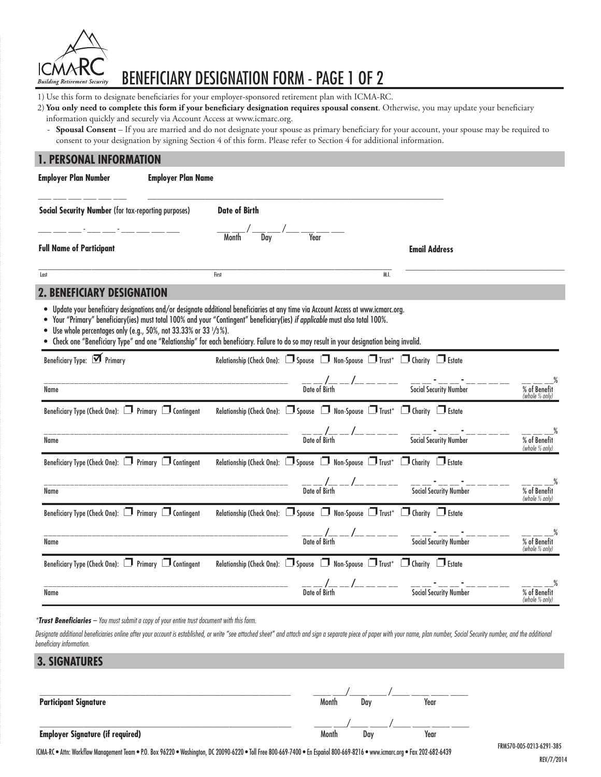

# BENEFICIARY DESIGNATION FORM - PAGE 1 OF 2

- 1) Use this form to designate beneficiaries for your employer-sponsored retirement plan with ICMA-RC.
- 2) **You only need to complete this form if your beneficiary designation requires spousal consent**. Otherwise, you may update your beneficiary information quickly and securely via Account Access at www.icmarc.org.
	- **Spousal Consent** If you are married and do not designate your spouse as primary beneficiary for your account, your spouse may be required to consent to your designation by signing Section 4 of this form. Please refer to Section 4 for additional information.

#### **1. PERSONAL INFORMATION**

| <b>Employer Plan Number</b><br><b>Employer Plan Name</b>                    |                                                                                                                                                                                                                                                                                                                                                                                                            |                                                                                                 |                                                |
|-----------------------------------------------------------------------------|------------------------------------------------------------------------------------------------------------------------------------------------------------------------------------------------------------------------------------------------------------------------------------------------------------------------------------------------------------------------------------------------------------|-------------------------------------------------------------------------------------------------|------------------------------------------------|
| <b>Social Security Number (for tax-reporting purposes)</b>                  | <b>Date of Birth</b>                                                                                                                                                                                                                                                                                                                                                                                       |                                                                                                 |                                                |
| <b>Full Name of Participant</b>                                             |                                                                                                                                                                                                                                                                                                                                                                                                            | <b>Email Address</b>                                                                            |                                                |
| Last                                                                        | First                                                                                                                                                                                                                                                                                                                                                                                                      | M.I.                                                                                            |                                                |
| FICIARY DESIGNATION                                                         |                                                                                                                                                                                                                                                                                                                                                                                                            |                                                                                                 |                                                |
| $\bullet$<br>Use whole percentages only (e.g., 50%, not 33.33% or 33 1/3%). | Update your beneficiary designations and/or designate additional beneficiaries at any time via Account Access at www.icmarc.org.<br>Your "Primary" beneficiary(ies) must total 100% and your "Contingent" beneficiary(ies) if applicable must also total 100%.<br>Check one "Beneficiary Type" and one "Relationship" for each beneficiary. Failure to do so may result in your designation being invalid. |                                                                                                 |                                                |
| Beneficiary Type: M Primary                                                 | Relationship (Check One): Spouse Mon-Spouse MTrust* MC Charity MEstate                                                                                                                                                                                                                                                                                                                                     |                                                                                                 |                                                |
| Name                                                                        |                                                                                                                                                                                                                                                                                                                                                                                                            |                                                                                                 | $\frac{8}{\%}$ of Benefit<br>(whole $\%$ only) |
| Beneficiary Type (Check One): Primary I Contingent                          | Relationship (Check One): □ Spouse □ Non-Spouse □ Trust* □ Charity □ Estate                                                                                                                                                                                                                                                                                                                                |                                                                                                 |                                                |
| Name                                                                        |                                                                                                                                                                                                                                                                                                                                                                                                            | __ __ /__ __ /__ __ __ __ __ __ __ ___ ___ ___ ___ ___ ___ ___ ___ ___ ___ ___<br>Date of Birth | $\frac{1}{\%}$ of Benefit<br>(whole % only)    |
| Beneficiary Type (Check One): Primary I Contingent                          | Relationship (Check One): Spouse D Non-Spouse D Trust* D Charity D Estate                                                                                                                                                                                                                                                                                                                                  |                                                                                                 |                                                |
| Name                                                                        |                                                                                                                                                                                                                                                                                                                                                                                                            |                                                                                                 | % of Benefit<br>(whole % only)                 |
| Beneficiary Type (Check One): Primary I Contingent                          | Relationship (Check One): 0 Spouse 0 Non-Spouse 0 Trust* 0 Charity 0 Estate                                                                                                                                                                                                                                                                                                                                |                                                                                                 |                                                |
| Name                                                                        |                                                                                                                                                                                                                                                                                                                                                                                                            |                                                                                                 | % of Benefit<br>(whole % only)                 |
| Beneficiary Type (Check One): Primary I Contingent                          | Relationship (Check One): 5 Spouse 5 Non-Spouse 5 Trust* 5 Charity 5 Estate                                                                                                                                                                                                                                                                                                                                |                                                                                                 |                                                |
| Name                                                                        | $\frac{1}{\text{Date of Birth}}$ -- $\frac{1}{\text{Date of Birth}}$ -- ------                                                                                                                                                                                                                                                                                                                             | Social Security Number                                                                          | % of Benefit<br>(whole % only)                 |

*\*Trust Beneficiaries – You must submit a copy of your entire trust document with this form.* 

Designate additional beneficiaries online after your account is established, or write "see attached sheet" and attach and sign a separate piece of paper with your name, plan number, Social Security number, and the addition *beneficiary information.*

| <b>3. SIGNATURES</b>                    |       |     |      |  |
|-----------------------------------------|-------|-----|------|--|
|                                         |       |     |      |  |
|                                         |       |     |      |  |
| <b>Participant Signature</b>            | Month | Dav | Year |  |
|                                         |       |     |      |  |
|                                         |       |     |      |  |
| <b>Employer Signature (if required)</b> | Month | Day | Year |  |

ICMA-RC • Attn: Workflow Management Team • P.O. Box 96220 • Washington, DC 20090-6220 • Toll Free 800-669-7400 • En Español 800-669-8216 • www.icmarc.org • Fax 202-682-6439